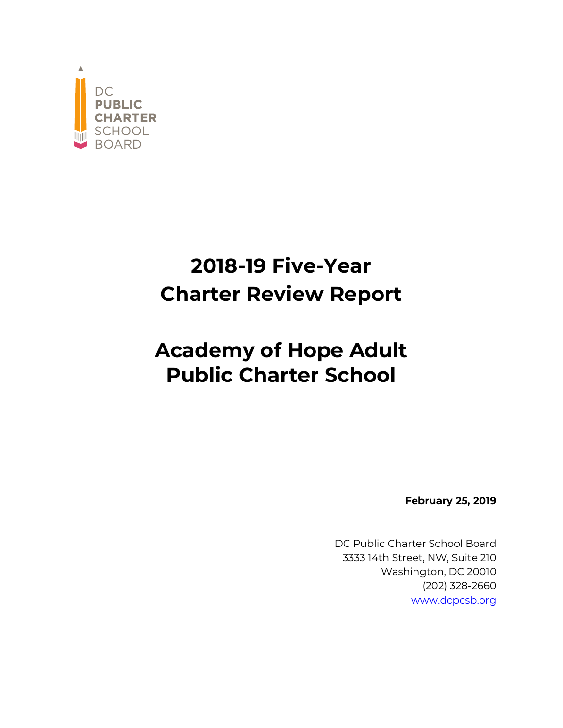

# **2018-19 Five-Year Charter Review Report**

# **Academy of Hope Adult Public Charter School**

**February 25, 2019**

DC Public Charter School Board 3333 14th Street, NW, Suite 210 Washington, DC 20010 (202) 328-2660 www.dcpcsb.org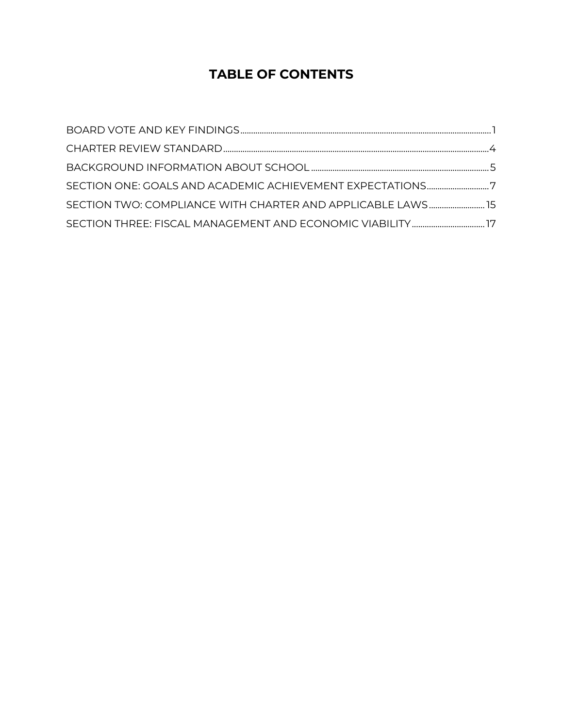# **TABLE OF CONTENTS**

| SECTION ONE: GOALS AND ACADEMIC ACHIEVEMENT EXPECTATIONS7   |  |
|-------------------------------------------------------------|--|
| SECTION TWO: COMPLIANCE WITH CHARTER AND APPLICABLE LAWS 15 |  |
|                                                             |  |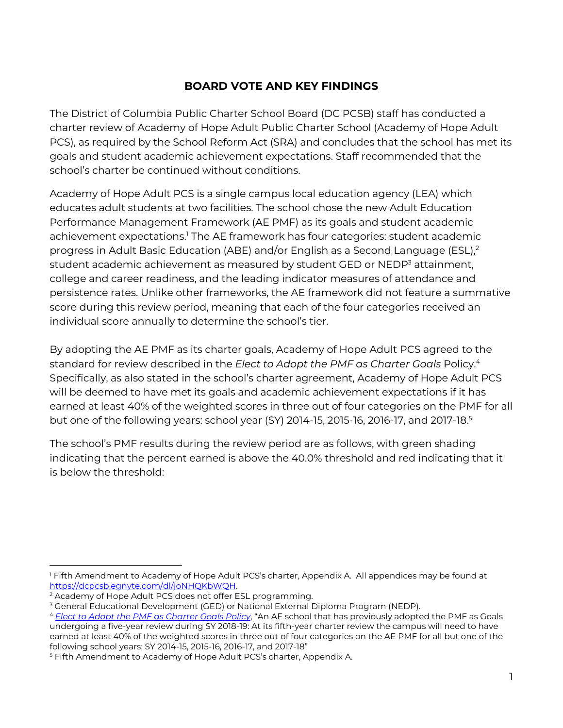# **BOARD VOTE AND KEY FINDINGS**

The District of Columbia Public Charter School Board (DC PCSB) staff has conducted a charter review of Academy of Hope Adult Public Charter School (Academy of Hope Adult PCS), as required by the School Reform Act (SRA) and concludes that the school has met its goals and student academic achievement expectations. Staff recommended that the school's charter be continued without conditions.

Academy of Hope Adult PCS is a single campus local education agency (LEA) which educates adult students at two facilities. The school chose the new Adult Education Performance Management Framework (AE PMF) as its goals and student academic achievement expectations.<sup>1</sup> The AE framework has four categories: student academic progress in Adult Basic Education (ABE) and/or English as a Second Language (ESL),<sup>2</sup> student academic achievement as measured by student GED or NEDP<sup>3</sup> attainment, college and career readiness, and the leading indicator measures of attendance and persistence rates. Unlike other frameworks, the AE framework did not feature a summative score during this review period, meaning that each of the four categories received an individual score annually to determine the school's tier.

By adopting the AE PMF as its charter goals, Academy of Hope Adult PCS agreed to the standard for review described in the *Elect to Adopt the PMF as Charter Goals* Policy. 4 Specifically, as also stated in the school's charter agreement, Academy of Hope Adult PCS will be deemed to have met its goals and academic achievement expectations if it has earned at least 40% of the weighted scores in three out of four categories on the PMF for all but one of the following years: school year (SY) 2014-15, 2015-16, 2016-17, and 2017-18. 5

The school's PMF results during the review period are as follows, with green shading indicating that the percent earned is above the 40.0% threshold and red indicating that it is below the threshold:

<sup>&</sup>lt;sup>1</sup> Fifth Amendment to Academy of Hope Adult PCS's charter, Appendix A. All appendices may be found at https://dcpcsb.egnyte.com/dl/joNHQKbWQH.<br><sup>2</sup> Academy of Hope Adult PCS does not offer ESL programming.<br><sup>3</sup> General Educational Development (GED) or National External Diploma Program (NEDP).

<sup>4</sup> *Elect to Adopt the PMF as Charter Goals Policy*, "An AE school that has previously adopted the PMF as Goals undergoing a five-year review during SY 2018-19: At its fifth-year charter review the campus will need to have earned at least 40% of the weighted scores in three out of four categories on the AE PMF for all but one of the following school years: SY 2014-15, 2015-16, 2016-17, and 2017-18"

<sup>5</sup> Fifth Amendment to Academy of Hope Adult PCS's charter, Appendix A.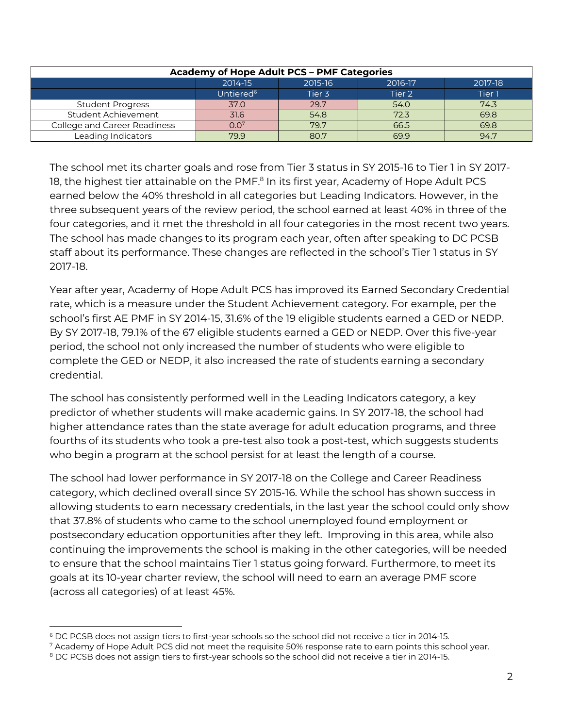| <b>Academy of Hope Adult PCS - PMF Categories</b> |                       |        |        |        |  |  |  |  |
|---------------------------------------------------|-----------------------|--------|--------|--------|--|--|--|--|
| 2014-15<br>2015-16<br>2017-18<br>2016-17          |                       |        |        |        |  |  |  |  |
|                                                   | Untiered <sup>6</sup> | Tier 3 | Tier 2 | Tier 1 |  |  |  |  |
| <b>Student Progress</b>                           | 37.0                  | 29.7   | 54.0   | 74.3   |  |  |  |  |
| Student Achievement                               | 31.6                  | 54.8   | 72.3   | 69.8   |  |  |  |  |
| College and Career Readiness                      | 0.0 <sup>7</sup>      | 79.7   | 66.5   | 69.8   |  |  |  |  |
| Leading Indicators                                | 79.9                  | 80.7   | 699    | 94.7   |  |  |  |  |

The school met its charter goals and rose from Tier 3 status in SY 2015-16 to Tier 1 in SY 2017- 18, the highest tier attainable on the PMF.<sup>8</sup> In its first year, Academy of Hope Adult PCS earned below the 40% threshold in all categories but Leading Indicators. However, in the three subsequent years of the review period, the school earned at least 40% in three of the four categories, and it met the threshold in all four categories in the most recent two years. The school has made changes to its program each year, often after speaking to DC PCSB staff about its performance. These changes are reflected in the school's Tier 1 status in SY 2017-18.

Year after year, Academy of Hope Adult PCS has improved its Earned Secondary Credential rate, which is a measure under the Student Achievement category. For example, per the school's first AE PMF in SY 2014-15, 31.6% of the 19 eligible students earned a GED or NEDP. By SY 2017-18, 79.1% of the 67 eligible students earned a GED or NEDP. Over this five-year period, the school not only increased the number of students who were eligible to complete the GED or NEDP, it also increased the rate of students earning a secondary credential.

The school has consistently performed well in the Leading Indicators category, a key predictor of whether students will make academic gains. In SY 2017-18, the school had higher attendance rates than the state average for adult education programs, and three fourths of its students who took a pre-test also took a post-test, which suggests students who begin a program at the school persist for at least the length of a course.

The school had lower performance in SY 2017-18 on the College and Career Readiness category, which declined overall since SY 2015-16. While the school has shown success in allowing students to earn necessary credentials, in the last year the school could only show that 37.8% of students who came to the school unemployed found employment or postsecondary education opportunities after they left. Improving in this area, while also continuing the improvements the school is making in the other categories, will be needed to ensure that the school maintains Tier 1 status going forward. Furthermore, to meet its goals at its 10-year charter review, the school will need to earn an average PMF score (across all categories) of at least 45%.

 $6$  DC PCSB does not assign tiers to first-year schools so the school did not receive a tier in 2014-15.<br>7 Academy of Hope Adult PCS did not meet the requisite 50% response rate to earn points this school year.

<sup>&</sup>lt;sup>8</sup> DC PCSB does not assign tiers to first-year schools so the school did not receive a tier in 2014-15.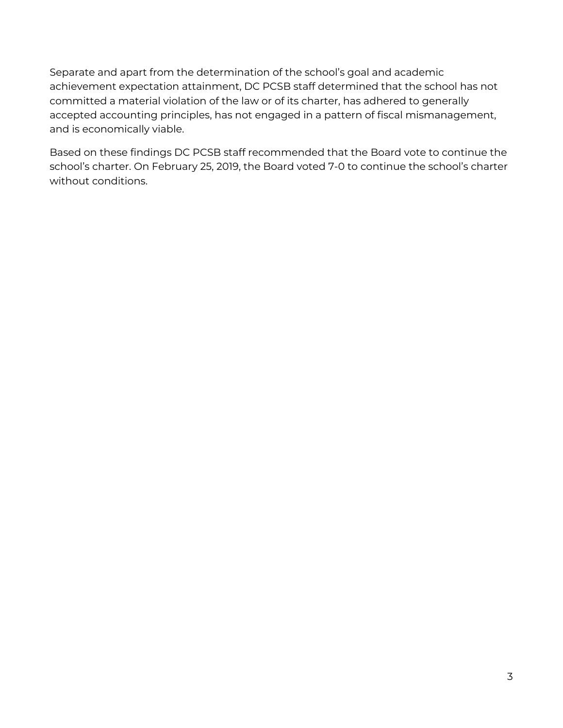Separate and apart from the determination of the school's goal and academic achievement expectation attainment, DC PCSB staff determined that the school has not committed a material violation of the law or of its charter, has adhered to generally accepted accounting principles, has not engaged in a pattern of fiscal mismanagement, and is economically viable.

Based on these findings DC PCSB staff recommended that the Board vote to continue the school's charter. On February 25, 2019, the Board voted 7-0 to continue the school's charter without conditions.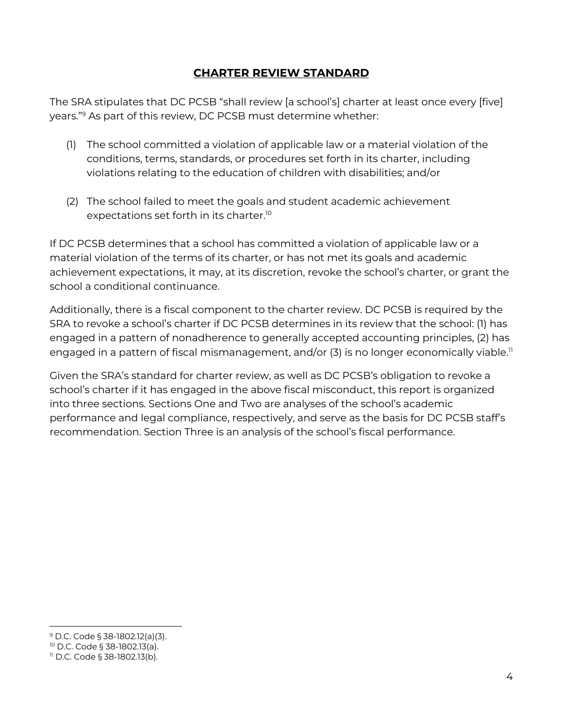#### **CHARTER REVIEW STANDARD**

The SRA stipulates that DC PCSB "shall review [a school's] charter at least once every [five] years."9 As part of this review, DC PCSB must determine whether:

- (1) The school committed a violation of applicable law or a material violation of the conditions, terms, standards, or procedures set forth in its charter, including violations relating to the education of children with disabilities; and/or
- (2) The school failed to meet the goals and student academic achievement expectations set forth in its charter.10

If DC PCSB determines that a school has committed a violation of applicable law or a material violation of the terms of its charter, or has not met its goals and academic achievement expectations, it may, at its discretion, revoke the school's charter, or grant the school a conditional continuance.

Additionally, there is a fiscal component to the charter review. DC PCSB is required by the SRA to revoke a school's charter if DC PCSB determines in its review that the school: (1) has engaged in a pattern of nonadherence to generally accepted accounting principles, (2) has engaged in a pattern of fiscal mismanagement, and/or  $(3)$  is no longer economically viable.<sup>11</sup>

Given the SRA's standard for charter review, as well as DC PCSB's obligation to revoke a school's charter if it has engaged in the above fiscal misconduct, this report is organized into three sections. Sections One and Two are analyses of the school's academic performance and legal compliance, respectively, and serve as the basis for DC PCSB staff's recommendation. Section Three is an analysis of the school's fiscal performance.

 <sup>9</sup> D.C. Code § 38-1802.12(a)(3).

<sup>10</sup> D.C. Code § 38-1802.13(a).

<sup>11</sup> D.C. Code § 38-1802.13(b).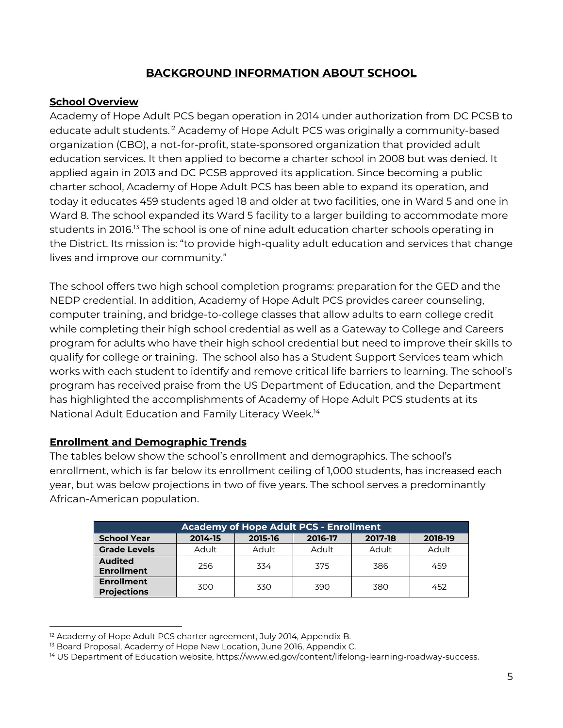# **BACKGROUND INFORMATION ABOUT SCHOOL**

#### **School Overview**

Academy of Hope Adult PCS began operation in 2014 under authorization from DC PCSB to educate adult students. <sup>12</sup> Academy of Hope Adult PCS was originally a community-based organization (CBO), a not-for-profit, state-sponsored organization that provided adult education services. It then applied to become a charter school in 2008 but was denied. It applied again in 2013 and DC PCSB approved its application. Since becoming a public charter school, Academy of Hope Adult PCS has been able to expand its operation, and today it educates 459 students aged 18 and older at two facilities, one in Ward 5 and one in Ward 8. The school expanded its Ward 5 facility to a larger building to accommodate more students in 2016.13 The school is one of nine adult education charter schools operating in the District. Its mission is: "to provide high-quality adult education and services that change lives and improve our community."

The school offers two high school completion programs: preparation for the GED and the NEDP credential. In addition, Academy of Hope Adult PCS provides career counseling, computer training, and bridge-to-college classes that allow adults to earn college credit while completing their high school credential as well as a Gateway to College and Careers program for adults who have their high school credential but need to improve their skills to qualify for college or training. The school also has a Student Support Services team which works with each student to identify and remove critical life barriers to learning. The school's program has received praise from the US Department of Education, and the Department has highlighted the accomplishments of Academy of Hope Adult PCS students at its National Adult Education and Family Literacy Week. 14

#### **Enrollment and Demographic Trends**

The tables below show the school's enrollment and demographics. The school's enrollment, which is far below its enrollment ceiling of 1,000 students, has increased each year, but was below projections in two of five years. The school serves a predominantly African-American population.

| Academy of Hope Adult PCS - Enrollment  |         |         |         |         |         |  |  |  |  |  |
|-----------------------------------------|---------|---------|---------|---------|---------|--|--|--|--|--|
| <b>School Year</b>                      | 2014-15 | 2015-16 | 2016-17 | 2017-18 | 2018-19 |  |  |  |  |  |
| <b>Grade Levels</b>                     | Adult   | Adult   | Adult   | Adult   | Adult   |  |  |  |  |  |
| <b>Audited</b><br><b>Enrollment</b>     | 256     | 334     | 375     | 386     | 459     |  |  |  |  |  |
| <b>Enrollment</b><br><b>Projections</b> | 300     | 330     | 390     | 380     | 452     |  |  |  |  |  |

<sup>&</sup>lt;sup>12</sup> Academy of Hope Adult PCS charter agreement, July 2014, Appendix B.

<sup>&</sup>lt;sup>13</sup> Board Proposal, Academy of Hope New Location, June 2016, Appendix C.

<sup>&</sup>lt;sup>14</sup> US Department of Education website, https://www.ed.gov/content/lifelong-learning-roadway-success.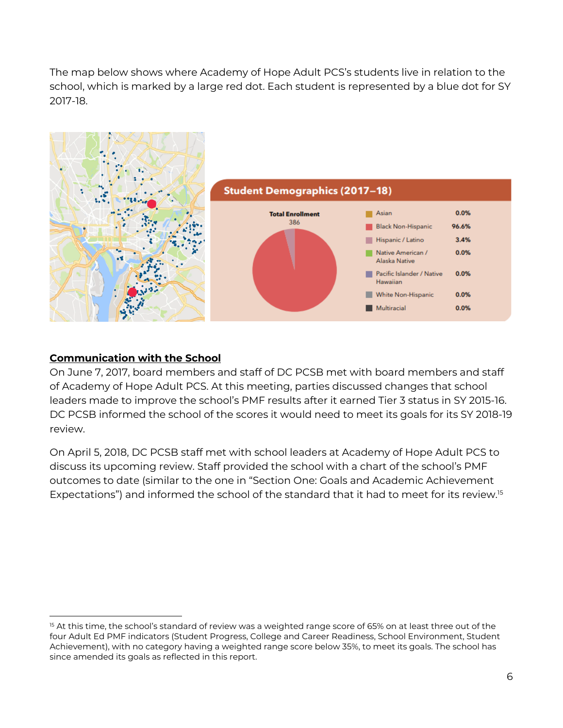The map below shows where Academy of Hope Adult PCS's students live in relation to the school, which is marked by a large red dot. Each student is represented by a blue dot for SY 2017-18.



#### **Communication with the School**

On June 7, 2017, board members and staff of DC PCSB met with board members and staff of Academy of Hope Adult PCS. At this meeting, parties discussed changes that school leaders made to improve the school's PMF results after it earned Tier 3 status in SY 2015-16. DC PCSB informed the school of the scores it would need to meet its goals for its SY 2018-19 review.

On April 5, 2018, DC PCSB staff met with school leaders at Academy of Hope Adult PCS to discuss its upcoming review. Staff provided the school with a chart of the school's PMF outcomes to date (similar to the one in "Section One: Goals and Academic Achievement Expectations") and informed the school of the standard that it had to meet for its review.<sup>15</sup>

<sup>&</sup>lt;sup>15</sup> At this time, the school's standard of review was a weighted range score of 65% on at least three out of the four Adult Ed PMF indicators (Student Progress, College and Career Readiness, School Environment, Student Achievement), with no category having a weighted range score below 35%, to meet its goals. The school has since amended its goals as reflected in this report.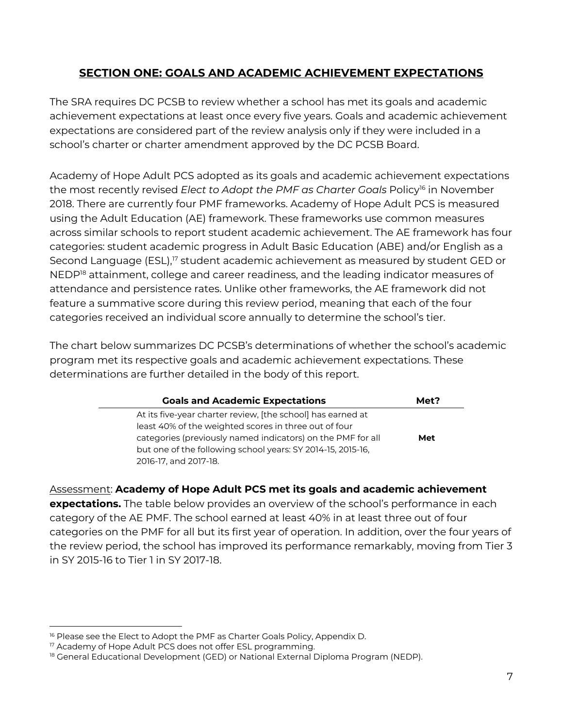# **SECTION ONE: GOALS AND ACADEMIC ACHIEVEMENT EXPECTATIONS**

The SRA requires DC PCSB to review whether a school has met its goals and academic achievement expectations at least once every five years. Goals and academic achievement expectations are considered part of the review analysis only if they were included in a school's charter or charter amendment approved by the DC PCSB Board.

Academy of Hope Adult PCS adopted as its goals and academic achievement expectations the most recently revised *Elect to Adopt the PMF as Charter Goals* Policy<sup>16</sup> in November 2018. There are currently four PMF frameworks. Academy of Hope Adult PCS is measured using the Adult Education (AE) framework. These frameworks use common measures across similar schools to report student academic achievement. The AE framework has four categories: student academic progress in Adult Basic Education (ABE) and/or English as a Second Language (ESL), <sup>17</sup> student academic achievement as measured by student GED or NEDP<sup>18</sup> attainment, college and career readiness, and the leading indicator measures of attendance and persistence rates. Unlike other frameworks, the AE framework did not feature a summative score during this review period, meaning that each of the four categories received an individual score annually to determine the school's tier.

The chart below summarizes DC PCSB's determinations of whether the school's academic program met its respective goals and academic achievement expectations. These determinations are further detailed in the body of this report.

| <b>Goals and Academic Expectations</b>                      | Met? |
|-------------------------------------------------------------|------|
| At its five-year charter review, [the school] has earned at |      |
| least 40% of the weighted scores in three out of four       |      |
| categories (previously named indicators) on the PMF for all | Met  |
| but one of the following school years: SY 2014-15, 2015-16, |      |
| 2016-17, and 2017-18.                                       |      |

Assessment: **Academy of Hope Adult PCS met its goals and academic achievement** 

**expectations.** The table below provides an overview of the school's performance in each category of the AE PMF. The school earned at least 40% in at least three out of four categories on the PMF for all but its first year of operation. In addition, over the four years of the review period, the school has improved its performance remarkably, moving from Tier 3 in SY 2015-16 to Tier 1 in SY 2017-18.

<sup>&</sup>lt;sup>16</sup> Please see the Elect to Adopt the PMF as Charter Goals Policy, Appendix D.<br><sup>17</sup> Academy of Hope Adult PCS does not offer ESL programming.

<sup>18</sup> General Educational Development (GED) or National External Diploma Program (NEDP).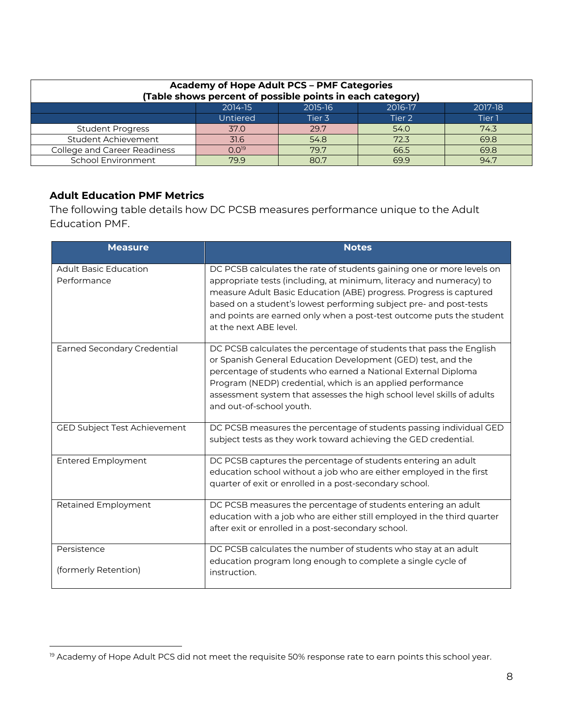| <b>Academy of Hope Adult PCS - PMF Categories</b><br>(Table shows percent of possible points in each category) |            |        |        |        |  |  |  |  |
|----------------------------------------------------------------------------------------------------------------|------------|--------|--------|--------|--|--|--|--|
| 2014-15<br>2015-16<br>2016-17<br>2017-18                                                                       |            |        |        |        |  |  |  |  |
|                                                                                                                | Untiered   | Tier 3 | Tier 2 | Tier 1 |  |  |  |  |
| <b>Student Progress</b>                                                                                        | 37.0       | 29.7   | 54.0   | 74.3   |  |  |  |  |
| Student Achievement                                                                                            | 31.6       | 54.8   | 72.3   | 69.8   |  |  |  |  |
| College and Career Readiness                                                                                   | $0.0^{19}$ | 79.7   | 66.5   | 69.8   |  |  |  |  |
| School Environment<br>94.7<br>79.9<br>80.7<br>699                                                              |            |        |        |        |  |  |  |  |

#### **Adult Education PMF Metrics**

The following table details how DC PCSB measures performance unique to the Adult Education PMF.

| <b>Measure</b>                              | <b>Notes</b>                                                                                                                                                                                                                                                                                                                                                                               |
|---------------------------------------------|--------------------------------------------------------------------------------------------------------------------------------------------------------------------------------------------------------------------------------------------------------------------------------------------------------------------------------------------------------------------------------------------|
| <b>Adult Basic Education</b><br>Performance | DC PCSB calculates the rate of students gaining one or more levels on<br>appropriate tests (including, at minimum, literacy and numeracy) to<br>measure Adult Basic Education (ABE) progress. Progress is captured<br>based on a student's lowest performing subject pre- and post-tests<br>and points are earned only when a post-test outcome puts the student<br>at the next ABE level. |
| <b>Earned Secondary Credential</b>          | DC PCSB calculates the percentage of students that pass the English<br>or Spanish General Education Development (GED) test, and the<br>percentage of students who earned a National External Diploma<br>Program (NEDP) credential, which is an applied performance<br>assessment system that assesses the high school level skills of adults<br>and out-of-school youth.                   |
| GED Subject Test Achievement                | DC PCSB measures the percentage of students passing individual GED<br>subject tests as they work toward achieving the GED credential.                                                                                                                                                                                                                                                      |
| <b>Entered Employment</b>                   | DC PCSB captures the percentage of students entering an adult<br>education school without a job who are either employed in the first<br>quarter of exit or enrolled in a post-secondary school.                                                                                                                                                                                            |
| Retained Employment                         | DC PCSB measures the percentage of students entering an adult<br>education with a job who are either still employed in the third quarter<br>after exit or enrolled in a post-secondary school.                                                                                                                                                                                             |
| Persistence<br>(formerly Retention)         | DC PCSB calculates the number of students who stay at an adult<br>education program long enough to complete a single cycle of<br>instruction.                                                                                                                                                                                                                                              |

<sup>&</sup>lt;sup>19</sup> Academy of Hope Adult PCS did not meet the requisite 50% response rate to earn points this school year.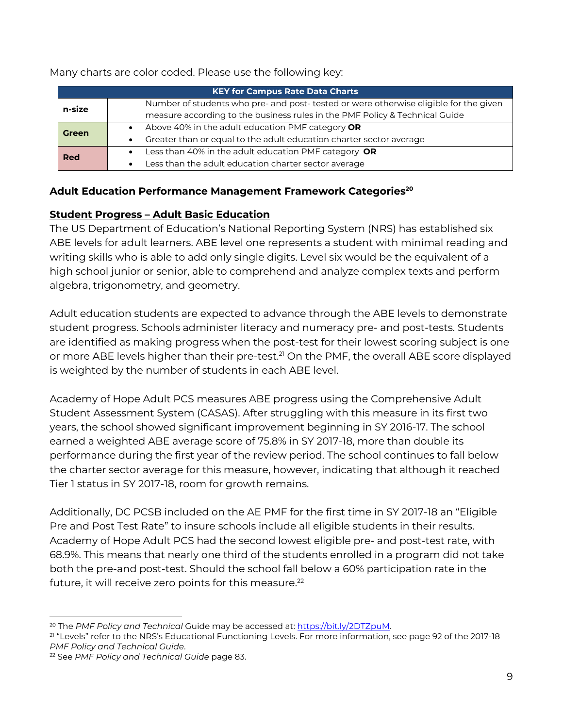Many charts are color coded. Please use the following key:

| <b>KEY for Campus Rate Data Charts</b> |                                                                                       |  |  |  |  |  |
|----------------------------------------|---------------------------------------------------------------------------------------|--|--|--|--|--|
| n-size                                 | Number of students who pre- and post- tested or were otherwise eligible for the given |  |  |  |  |  |
|                                        | measure according to the business rules in the PMF Policy & Technical Guide           |  |  |  |  |  |
| <b>Green</b>                           | Above 40% in the adult education PMF category OR                                      |  |  |  |  |  |
|                                        | Greater than or equal to the adult education charter sector average                   |  |  |  |  |  |
| Red                                    | Less than 40% in the adult education PMF category OR                                  |  |  |  |  |  |
|                                        | Less than the adult education charter sector average                                  |  |  |  |  |  |

#### **Adult Education Performance Management Framework Categories<sup>20</sup>**

#### **Student Progress – Adult Basic Education**

The US Department of Education's National Reporting System (NRS) has established six ABE levels for adult learners. ABE level one represents a student with minimal reading and writing skills who is able to add only single digits. Level six would be the equivalent of a high school junior or senior, able to comprehend and analyze complex texts and perform algebra, trigonometry, and geometry.

Adult education students are expected to advance through the ABE levels to demonstrate student progress. Schools administer literacy and numeracy pre- and post-tests. Students are identified as making progress when the post-test for their lowest scoring subject is one or more ABE levels higher than their pre-test.<sup>21</sup> On the PMF, the overall ABE score displayed is weighted by the number of students in each ABE level.

Academy of Hope Adult PCS measures ABE progress using the Comprehensive Adult Student Assessment System (CASAS). After struggling with this measure in its first two years, the school showed significant improvement beginning in SY 2016-17. The school earned a weighted ABE average score of 75.8% in SY 2017-18, more than double its performance during the first year of the review period. The school continues to fall below the charter sector average for this measure, however, indicating that although it reached Tier 1 status in SY 2017-18, room for growth remains.

Additionally, DC PCSB included on the AE PMF for the first time in SY 2017-18 an "Eligible Pre and Post Test Rate" to insure schools include all eligible students in their results. Academy of Hope Adult PCS had the second lowest eligible pre- and post-test rate, with 68.9%. This means that nearly one third of the students enrolled in a program did not take both the pre-and post-test. Should the school fall below a 60% participation rate in the future, it will receive zero points for this measure. $^{22}$ 

<sup>&</sup>lt;sup>20</sup> The *PMF Policy and Technical* Guide may be accessed at: <u>https://bit.ly/2DTZpuM</u>.<br><sup>21</sup> "Levels" refer to the NRS's Educational Functioning Levels. For more information, see page 92 of the 2017-18 *PMF Policy and Technical Guide*.

<sup>22</sup> See *PMF Policy and Technical Guide* page 83.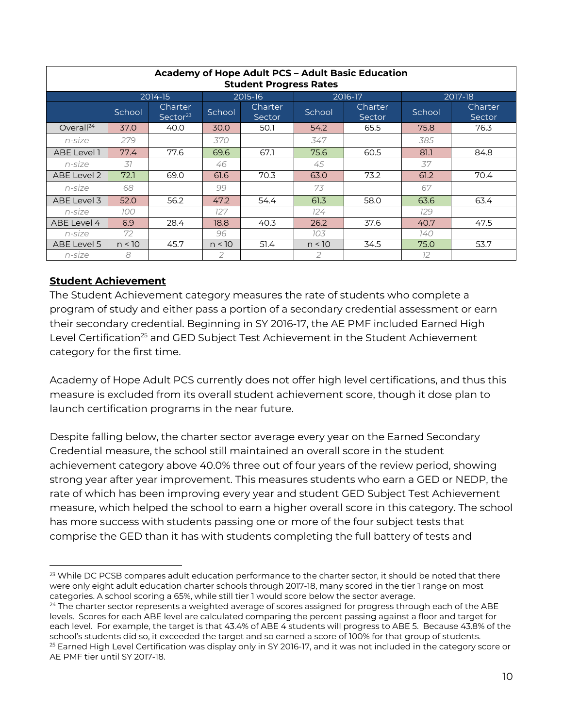| <b>Academy of Hope Adult PCS - Adult Basic Education</b><br><b>Student Progress Rates</b> |        |                                        |               |                   |         |                   |        |                   |  |  |
|-------------------------------------------------------------------------------------------|--------|----------------------------------------|---------------|-------------------|---------|-------------------|--------|-------------------|--|--|
|                                                                                           |        | 2014-15                                | 2015-16       |                   | 2016-17 |                   |        | 2017-18           |  |  |
|                                                                                           | School | <b>Charter</b><br>Sector <sup>23</sup> | School        | Charter<br>Sector | School  | Charter<br>Sector | School | Charter<br>Sector |  |  |
| Overall <sup>24</sup>                                                                     | 37.0   | 40.0                                   | 30.0          | 50.1              | 54.2    | 65.5              | 75.8   | 76.3              |  |  |
| $n$ -size                                                                                 | 279    |                                        | 370           |                   | 347     |                   | 385    |                   |  |  |
| ABE Level 1                                                                               | 77.4   | 77.6                                   | 69.6          | 67.1              | 75.6    | 60.5              | 81.1   | 84.8              |  |  |
| $n$ -size                                                                                 | .37    |                                        | 46            |                   | 45      |                   | 37     |                   |  |  |
| ABE Level 2                                                                               | 72.1   | 69.0                                   | 61.6          | 70.3              | 63.0    | 73.2              | 61.2   | 70.4              |  |  |
| $n$ -size                                                                                 | 68     |                                        | 99            |                   | 73      |                   | 67     |                   |  |  |
| ABE Level 3                                                                               | 52.0   | 56.2                                   | 47.2          | 54.4              | 61.3    | 58.0              | 63.6   | 63.4              |  |  |
| $n$ -size                                                                                 | 100    |                                        | 127           |                   | 124     |                   | 129    |                   |  |  |
| ABE Level 4                                                                               | 6.9    | 28.4                                   | 18.8          | 40.3              | 26.2    | 37.6              | 40.7   | 47.5              |  |  |
| $n$ -size                                                                                 | 72     |                                        | 96            |                   | 103     |                   | 140    |                   |  |  |
| ABE Level 5                                                                               | n < 10 | 45.7                                   | n < 10        | 51.4              | n < 10  | 34.5              | 75.0   | 53.7              |  |  |
| $n$ -size                                                                                 | 8      |                                        | $\mathcal{P}$ |                   | 2       |                   | 12     |                   |  |  |

#### **Student Achievement**

The Student Achievement category measures the rate of students who complete a program of study and either pass a portion of a secondary credential assessment or earn their secondary credential. Beginning in SY 2016-17, the AE PMF included Earned High Level Certification<sup>25</sup> and GED Subject Test Achievement in the Student Achievement category for the first time.

Academy of Hope Adult PCS currently does not offer high level certifications, and thus this measure is excluded from its overall student achievement score, though it dose plan to launch certification programs in the near future.

Despite falling below, the charter sector average every year on the Earned Secondary Credential measure, the school still maintained an overall score in the student achievement category above 40.0% three out of four years of the review period, showing strong year after year improvement. This measures students who earn a GED or NEDP, the rate of which has been improving every year and student GED Subject Test Achievement measure, which helped the school to earn a higher overall score in this category. The school has more success with students passing one or more of the four subject tests that comprise the GED than it has with students completing the full battery of tests and

<sup>&</sup>lt;sup>23</sup> While DC PCSB compares adult education performance to the charter sector, it should be noted that there were only eight adult education charter schools through 2017-18, many scored in the tier 1 range on most<br>categories. A school scoring a 65%, while still tier 1 would score below the sector average.

<sup>&</sup>lt;sup>24</sup> The charter sector represents a weighted average of scores assigned for progress through each of the ABE levels. Scores for each ABE level are calculated comparing the percent passing against a floor and target for each level. For example, the target is that 43.4% of ABE 4 students will progress to ABE 5. Because 43.8% of the school's students did so, it exceeded the target and so earned a score of 100% for that group of students. <sup>25</sup> Earned High Level Certification was display only in SY 2016-17, and it was not included in the category score or AE PMF tier until SY 2017-18.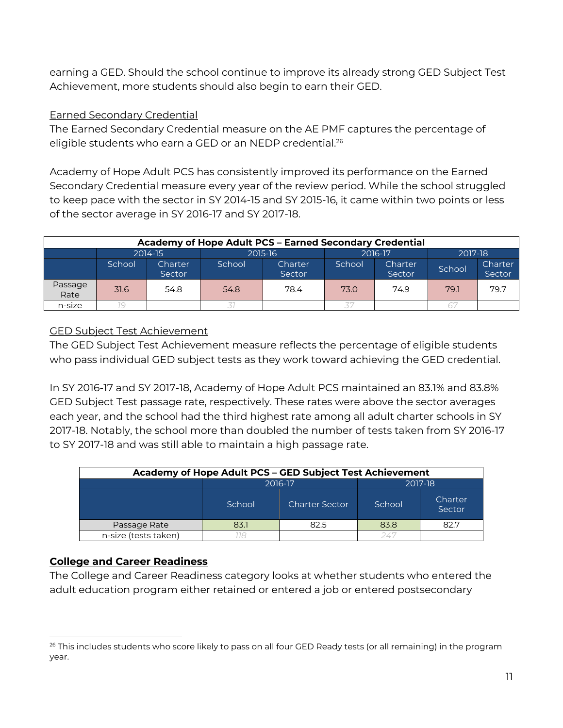earning a GED. Should the school continue to improve its already strong GED Subject Test Achievement, more students should also begin to earn their GED.

### Earned Secondary Credential

The Earned Secondary Credential measure on the AE PMF captures the percentage of eligible students who earn a GED or an NEDP credential.<sup>26</sup>

Academy of Hope Adult PCS has consistently improved its performance on the Earned Secondary Credential measure every year of the review period. While the school struggled to keep pace with the sector in SY 2014-15 and SY 2015-16, it came within two points or less of the sector average in SY 2016-17 and SY 2017-18.

| <b>Academy of Hope Adult PCS - Earned Secondary Credential</b> |         |                   |         |                   |        |                   |         |                   |  |  |
|----------------------------------------------------------------|---------|-------------------|---------|-------------------|--------|-------------------|---------|-------------------|--|--|
|                                                                | 2014-15 |                   | 2015-16 |                   |        | 2016-17           | 2017-18 |                   |  |  |
|                                                                | School  | Charter<br>Sector | School  | Charter<br>Sector | School | Charter<br>Sector | School  | Charter<br>Sector |  |  |
| Passage<br>Rate                                                | 31.6    | 54.8              | 54.8    | 78.4              | 73.0   | 74.9              | 79.1    | 79.7              |  |  |
| n-size                                                         |         |                   |         |                   |        |                   |         |                   |  |  |

### GED Subject Test Achievement

The GED Subject Test Achievement measure reflects the percentage of eligible students who pass individual GED subject tests as they work toward achieving the GED credential.

In SY 2016-17 and SY 2017-18, Academy of Hope Adult PCS maintained an 83.1% and 83.8% GED Subject Test passage rate, respectively. These rates were above the sector averages each year, and the school had the third highest rate among all adult charter schools in SY 2017-18. Notably, the school more than doubled the number of tests taken from SY 2016-17 to SY 2017-18 and was still able to maintain a high passage rate.

| Academy of Hope Adult PCS - GED Subject Test Achievement |        |                       |         |                   |  |  |  |  |
|----------------------------------------------------------|--------|-----------------------|---------|-------------------|--|--|--|--|
|                                                          |        | 2016-17               | 2017-18 |                   |  |  |  |  |
|                                                          | School | <b>Charter Sector</b> | School  | Charter<br>Sector |  |  |  |  |
| Passage Rate                                             | 83.1   | 82.5                  | 83.8    | 82.7              |  |  |  |  |
| n-size (tests taken)                                     |        |                       |         |                   |  |  |  |  |

# **College and Career Readiness**

The College and Career Readiness category looks at whether students who entered the adult education program either retained or entered a job or entered postsecondary

<sup>&</sup>lt;sup>26</sup> This includes students who score likely to pass on all four GED Ready tests (or all remaining) in the program year.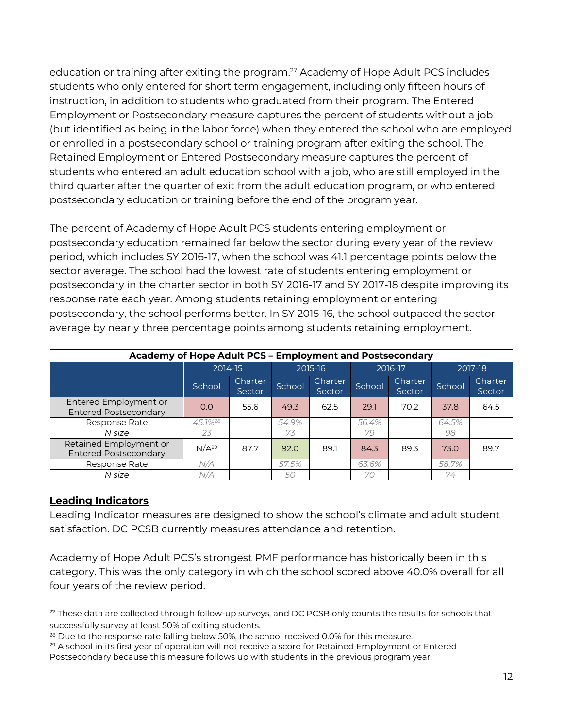education or training after exiting the program.<sup>27</sup> Academy of Hope Adult PCS includes students who only entered for short term engagement, including only fifteen hours of instruction, in addition to students who graduated from their program. The Entered Employment or Postsecondary measure captures the percent of students without a job (but identified as being in the labor force) when they entered the school who are employed or enrolled in a postsecondary school or training program after exiting the school. The Retained Employment or Entered Postsecondary measure captures the percent of students who entered an adult education school with a job, who are still employed in the third quarter after the quarter of exit from the adult education program, or who entered postsecondary education or training before the end of the program year.

The percent of Academy of Hope Adult PCS students entering employment or postsecondary education remained far below the sector during every year of the review period, which includes SY 2016-17, when the school was 41.1 percentage points below the sector average. The school had the lowest rate of students entering employment or postsecondary in the charter sector in both SY 2016-17 and SY 2017-18 despite improving its response rate each year. Among students retaining employment or entering postsecondary, the school performs better. In SY 2015-16, the school outpaced the sector average by nearly three percentage points among students retaining employment.

| Academy of Hope Adult PCS - Employment and Postsecondary |                     |                   |        |                          |        |                          |        |                   |  |
|----------------------------------------------------------|---------------------|-------------------|--------|--------------------------|--------|--------------------------|--------|-------------------|--|
|                                                          |                     | 2014-15           |        | 2015-16                  |        | 2016-17                  |        | 2017-18           |  |
|                                                          | School              | Charter<br>Sector | School | <b>Charter</b><br>Sector | School | <b>Charter</b><br>Sector | School | Charter<br>Sector |  |
| Entered Employment or<br><b>Entered Postsecondary</b>    | 0.0                 | 55.6              | 49.3   | 62.5                     | 29.1   | 70.2                     | 37.8   | 64.5              |  |
| Response Rate                                            | 45.1% <sup>28</sup> |                   | 54.9%  |                          | 56.4%  |                          | 64.5%  |                   |  |
| N size                                                   | 23                  |                   | 73     |                          | 79     |                          | 98     |                   |  |
| Retained Employment or<br><b>Entered Postsecondary</b>   | N/A <sup>29</sup>   | 87.7              | 92.0   | 89.1                     | 84.3   | 89.3                     | 73.0   | 89.7              |  |
| Response Rate                                            | N/A                 |                   | 57.5%  |                          | 63.6%  |                          | 58.7%  |                   |  |
| N size                                                   | N/A                 |                   | 50     |                          | 70     |                          | 74     |                   |  |

#### **Leading Indicators**

Leading Indicator measures are designed to show the school's climate and adult student satisfaction. DC PCSB currently measures attendance and retention.

Academy of Hope Adult PCS's strongest PMF performance has historically been in this category. This was the only category in which the school scored above 40.0% overall for all four years of the review period.

<sup>&</sup>lt;sup>27</sup> These data are collected through follow-up surveys, and DC PCSB only counts the results for schools that successfully survey at least 50% of exiting students.

 $^{28}$  Due to the response rate falling below 50%, the school received 0.0% for this measure.<br> $^{29}$  A school in its first year of operation will not receive a score for Retained Employment or Entered Postsecondary because this measure follows up with students in the previous program year.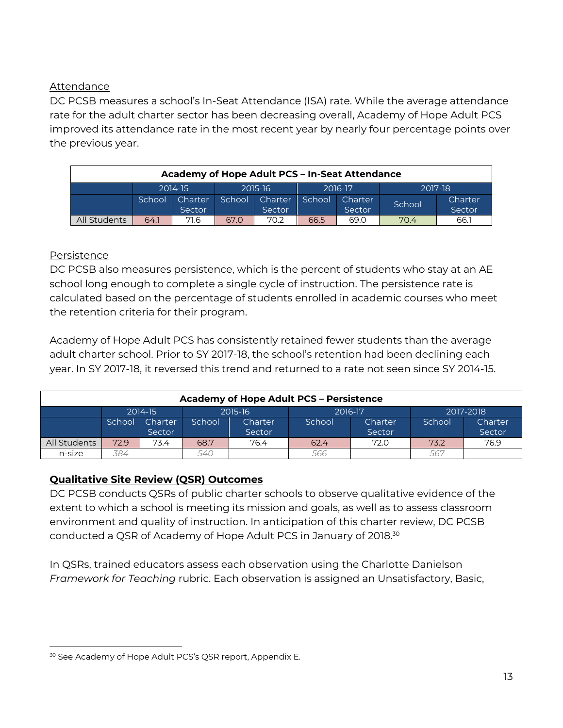#### Attendance

DC PCSB measures a school's In-Seat Attendance (ISA) rate. While the average attendance rate for the adult charter sector has been decreasing overall, Academy of Hope Adult PCS improved its attendance rate in the most recent year by nearly four percentage points over the previous year.

| Academy of Hope Adult PCS - In-Seat Attendance |         |                   |         |                          |         |                   |         |                   |  |  |
|------------------------------------------------|---------|-------------------|---------|--------------------------|---------|-------------------|---------|-------------------|--|--|
|                                                | 2014-15 |                   | 2015-16 |                          | 2016-17 |                   | 2017-18 |                   |  |  |
|                                                | School  | Charter<br>Sector | School  | <b>Charter</b><br>Sector | School  | Charter<br>Sector | School  | Charter<br>Sector |  |  |
| All Students                                   | 64.1    | 71.6              | 67.0    | 70.2                     | 66.5    | 69.0              | 70.4    | 66.1              |  |  |

#### **Persistence**

DC PCSB also measures persistence, which is the percent of students who stay at an AE school long enough to complete a single cycle of instruction. The persistence rate is calculated based on the percentage of students enrolled in academic courses who meet the retention criteria for their program.

Academy of Hope Adult PCS has consistently retained fewer students than the average adult charter school. Prior to SY 2017-18, the school's retention had been declining each year. In SY 2017-18, it reversed this trend and returned to a rate not seen since SY 2014-15.

| <b>Academy of Hope Adult PCS - Persistence</b> |                    |                          |        |                   |        |                   |        |                   |  |
|------------------------------------------------|--------------------|--------------------------|--------|-------------------|--------|-------------------|--------|-------------------|--|
|                                                | 2015-16<br>2014-15 |                          |        | 2016-17           |        | 2017-2018         |        |                   |  |
|                                                | School             | <b>Charter</b><br>Sector | School | Charter<br>Sector | School | Charter<br>Sector | School | Charter<br>Sector |  |
| All Students                                   | 72.9               | 73.4                     | 68.7   | 76.4              | 62.4   | 72.0              | 73.2   | 76.9              |  |
| n-size                                         | 384                |                          | 540    |                   | 566    |                   | 567    |                   |  |

#### **Qualitative Site Review (QSR) Outcomes**

DC PCSB conducts QSRs of public charter schools to observe qualitative evidence of the extent to which a school is meeting its mission and goals, as well as to assess classroom environment and quality of instruction. In anticipation of this charter review, DC PCSB conducted a QSR of Academy of Hope Adult PCS in January of 2018. 30

In QSRs, trained educators assess each observation using the Charlotte Danielson *Framework for Teaching* rubric. Each observation is assigned an Unsatisfactory, Basic,

<sup>&</sup>lt;sup>30</sup> See Academy of Hope Adult PCS's QSR report, Appendix E.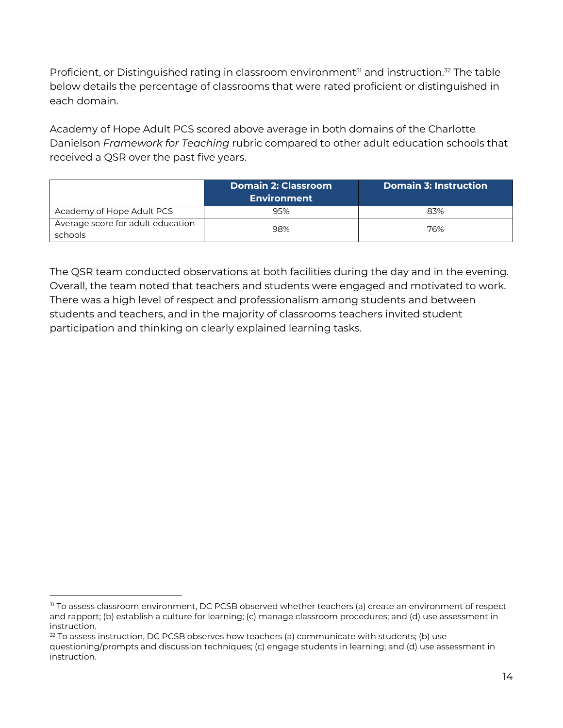Proficient, or Distinguished rating in classroom environment<sup>31</sup> and instruction.<sup>32</sup> The table below details the percentage of classrooms that were rated proficient or distinguished in each domain.

Academy of Hope Adult PCS scored above average in both domains of the Charlotte Danielson *Framework for Teaching* rubric compared to other adult education schools that received a QSR over the past five years.

|                                              | Domain 2: Classroom<br><b>Environment</b> | <b>Domain 3: Instruction</b> |
|----------------------------------------------|-------------------------------------------|------------------------------|
| Academy of Hope Adult PCS                    | 95%                                       | 83%                          |
| Average score for adult education<br>schools | 98%                                       | 76%                          |

The QSR team conducted observations at both facilities during the day and in the evening. Overall, the team noted that teachers and students were engaged and motivated to work. There was a high level of respect and professionalism among students and between students and teachers, and in the majority of classrooms teachers invited student participation and thinking on clearly explained learning tasks.

<sup>&</sup>lt;sup>31</sup> To assess classroom environment, DC PCSB observed whether teachers (a) create an environment of respect and rapport; (b) establish a culture for learning; (c) manage classroom procedures; and (d) use assessment in instruction.

 $32$  To assess instruction, DC PCSB observes how teachers (a) communicate with students; (b) use questioning/prompts and discussion techniques; (c) engage students in learning; and (d) use assessment in instruction.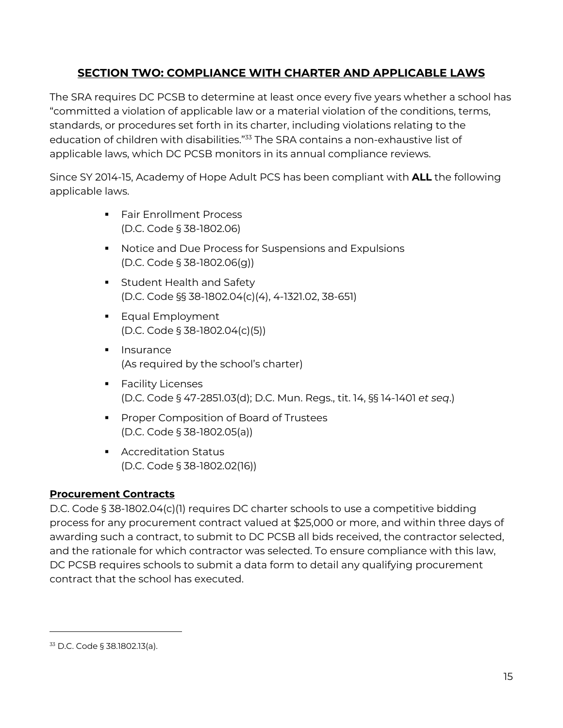# **SECTION TWO: COMPLIANCE WITH CHARTER AND APPLICABLE LAWS**

The SRA requires DC PCSB to determine at least once every five years whether a school has "committed a violation of applicable law or a material violation of the conditions, terms, standards, or procedures set forth in its charter, including violations relating to the education of children with disabilities."<sup>33</sup> The SRA contains a non-exhaustive list of applicable laws, which DC PCSB monitors in its annual compliance reviews.

Since SY 2014-15, Academy of Hope Adult PCS has been compliant with **ALL** the following applicable laws.

- Fair Enrollment Process (D.C. Code § 38-1802.06)
- Notice and Due Process for Suspensions and Expulsions (D.C. Code § 38-1802.06(g))
- **Student Health and Safety** (D.C. Code §§ 38-1802.04(c)(4), 4-1321.02, 38-651)
- Equal Employment (D.C. Code § 38-1802.04(c)(5))
- Insurance (As required by the school's charter)
- **•** Facility Licenses (D.C. Code § 47-2851.03(d); D.C. Mun. Regs., tit. 14, §§ 14-1401 *et seq*.)
- Proper Composition of Board of Trustees (D.C. Code § 38-1802.05(a))
- Accreditation Status (D.C. Code § 38-1802.02(16))

#### **Procurement Contracts**

D.C. Code § 38-1802.04(c)(1) requires DC charter schools to use a competitive bidding process for any procurement contract valued at \$25,000 or more, and within three days of awarding such a contract, to submit to DC PCSB all bids received, the contractor selected, and the rationale for which contractor was selected. To ensure compliance with this law, DC PCSB requires schools to submit a data form to detail any qualifying procurement contract that the school has executed.

 $\overline{a}$ 

<sup>33</sup> D.C. Code § 38.1802.13(a).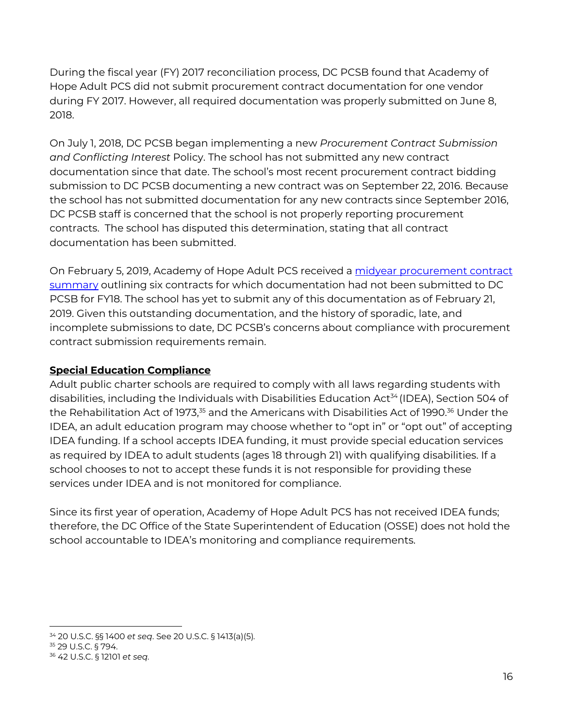During the fiscal year (FY) 2017 reconciliation process, DC PCSB found that Academy of Hope Adult PCS did not submit procurement contract documentation for one vendor during FY 2017. However, all required documentation was properly submitted on June 8, 2018.

On July 1, 2018, DC PCSB began implementing a new *Procurement Contract Submission and Conflicting Interest* Policy. The school has not submitted any new contract documentation since that date. The school's most recent procurement contract bidding submission to DC PCSB documenting a new contract was on September 22, 2016. Because the school has not submitted documentation for any new contracts since September 2016, DC PCSB staff is concerned that the school is not properly reporting procurement contracts. The school has disputed this determination, stating that all contract documentation has been submitted.

On February 5, 2019, Academy of Hope Adult PCS received a midyear procurement contract summary outlining six contracts for which documentation had not been submitted to DC PCSB for FY18. The school has yet to submit any of this documentation as of February 21, 2019. Given this outstanding documentation, and the history of sporadic, late, and incomplete submissions to date, DC PCSB's concerns about compliance with procurement contract submission requirements remain.

# **Special Education Compliance**

Adult public charter schools are required to comply with all laws regarding students with disabilities, including the Individuals with Disabilities Education Act<sup>34</sup> (IDEA), Section 504 of the Rehabilitation Act of 1973,<sup>35</sup> and the Americans with Disabilities Act of 1990.<sup>36</sup> Under the IDEA, an adult education program may choose whether to "opt in" or "opt out" of accepting IDEA funding. If a school accepts IDEA funding, it must provide special education services as required by IDEA to adult students (ages 18 through 21) with qualifying disabilities. If a school chooses to not to accept these funds it is not responsible for providing these services under IDEA and is not monitored for compliance.

Since its first year of operation, Academy of Hope Adult PCS has not received IDEA funds; therefore, the DC Office of the State Superintendent of Education (OSSE) does not hold the school accountable to IDEA's monitoring and compliance requirements.

 <sup>34</sup> 20 U.S.C. §§ 1400 *et seq*. See 20 U.S.C. § 1413(a)(5)*.*

<sup>35</sup> 29 U.S.C. § 794. 36 42 U.S.C. § 12101 *et seq.*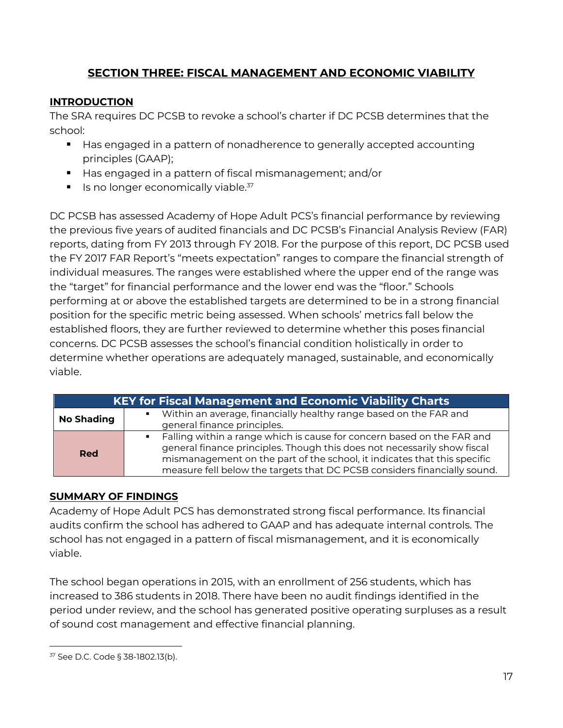# **SECTION THREE: FISCAL MANAGEMENT AND ECONOMIC VIABILITY**

# **INTRODUCTION**

The SRA requires DC PCSB to revoke a school's charter if DC PCSB determines that the school:

- Has engaged in a pattern of nonadherence to generally accepted accounting principles (GAAP);
- Has engaged in a pattern of fiscal mismanagement; and/or
- $\blacksquare$  Is no longer economically viable.<sup>37</sup>

DC PCSB has assessed Academy of Hope Adult PCS's financial performance by reviewing the previous five years of audited financials and DC PCSB's Financial Analysis Review (FAR) reports, dating from FY 2013 through FY 2018. For the purpose of this report, DC PCSB used the FY 2017 FAR Report's "meets expectation" ranges to compare the financial strength of individual measures. The ranges were established where the upper end of the range was the "target" for financial performance and the lower end was the "floor." Schools performing at or above the established targets are determined to be in a strong financial position for the specific metric being assessed. When schools' metrics fall below the established floors, they are further reviewed to determine whether this poses financial concerns. DC PCSB assesses the school's financial condition holistically in order to determine whether operations are adequately managed, sustainable, and economically viable.

|                   | <b>KEY for Fiscal Management and Economic Viability Charts</b>                                                                                                                                                                                                                                               |
|-------------------|--------------------------------------------------------------------------------------------------------------------------------------------------------------------------------------------------------------------------------------------------------------------------------------------------------------|
| <b>No Shading</b> | Within an average, financially healthy range based on the FAR and<br>$\blacksquare$ .<br>general finance principles.                                                                                                                                                                                         |
| <b>Red</b>        | • Falling within a range which is cause for concern based on the FAR and<br>general finance principles. Though this does not necessarily show fiscal<br>mismanagement on the part of the school, it indicates that this specific<br>measure fell below the targets that DC PCSB considers financially sound. |

#### **SUMMARY OF FINDINGS**

Academy of Hope Adult PCS has demonstrated strong fiscal performance. Its financial audits confirm the school has adhered to GAAP and has adequate internal controls. The school has not engaged in a pattern of fiscal mismanagement, and it is economically viable.

The school began operations in 2015, with an enrollment of 256 students, which has increased to 386 students in 2018. There have been no audit findings identified in the period under review, and the school has generated positive operating surpluses as a result of sound cost management and effective financial planning.

 <sup>37</sup> See D.C. Code § 38-1802.13(b).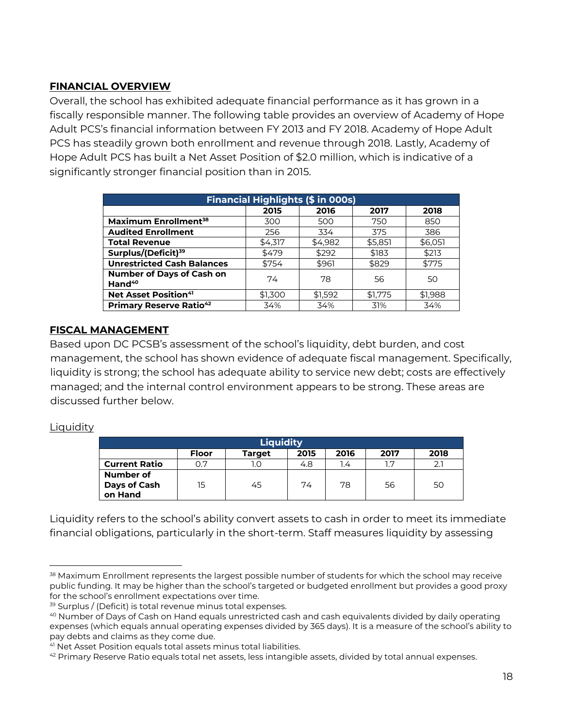#### **FINANCIAL OVERVIEW**

Overall, the school has exhibited adequate financial performance as it has grown in a fiscally responsible manner. The following table provides an overview of Academy of Hope Adult PCS's financial information between FY 2013 and FY 2018. Academy of Hope Adult PCS has steadily grown both enrollment and revenue through 2018. Lastly, Academy of Hope Adult PCS has built a Net Asset Position of \$2.0 million, which is indicative of a significantly stronger financial position than in 2015.

| <b>Financial Highlights (\$ in 000s)</b>               |         |         |         |         |  |  |  |  |
|--------------------------------------------------------|---------|---------|---------|---------|--|--|--|--|
|                                                        | 2015    | 2016    | 2017    | 2018    |  |  |  |  |
| Maximum Enrollment <sup>38</sup>                       | 300     | 500     | 750     | 850     |  |  |  |  |
| <b>Audited Enrollment</b>                              | 256     | 334     | 375     | 386     |  |  |  |  |
| <b>Total Revenue</b>                                   | \$4,317 | \$4,982 | \$5,851 | \$6,051 |  |  |  |  |
| Surplus/(Deficit) <sup>39</sup>                        | \$479   | \$292   | \$183   | \$213   |  |  |  |  |
| <b>Unrestricted Cash Balances</b>                      | \$754   | \$961   | \$829   | \$775   |  |  |  |  |
| <b>Number of Days of Cash on</b><br>Hand <sup>40</sup> | 74      | 78      | 56      | 50      |  |  |  |  |
| <b>Net Asset Position41</b>                            | \$1,300 | \$1,592 | \$1,775 | \$1,988 |  |  |  |  |
| <b>Primary Reserve Ratio42</b>                         | 34%     | 34%     | 31%     | 34%     |  |  |  |  |

#### **FISCAL MANAGEMENT**

Based upon DC PCSB's assessment of the school's liquidity, debt burden, and cost management, the school has shown evidence of adequate fiscal management. Specifically, liquidity is strong; the school has adequate ability to service new debt; costs are effectively managed; and the internal control environment appears to be strong. These areas are discussed further below.

#### Liquidity

| <b>Liquidity</b>                     |              |        |      |      |      |      |  |
|--------------------------------------|--------------|--------|------|------|------|------|--|
|                                      | <b>Floor</b> | Target | 2015 | 2016 | 2017 | 2018 |  |
| <b>Current Ratio</b>                 | 0.7          | ۱.O    | 4.8  | 1.4  | 17   |      |  |
| Number of<br>Days of Cash<br>on Hand | 15           | 45     | 74   | 78   | 56   | 50   |  |

Liquidity refers to the school's ability convert assets to cash in order to meet its immediate financial obligations, particularly in the short-term. Staff measures liquidity by assessing

<sup>38</sup> Maximum Enrollment represents the largest possible number of students for which the school may receive public funding. It may be higher than the school's targeted or budgeted enrollment but provides a good proxy for the school's enrollment expectations over time.

<sup>39</sup> Surplus / (Deficit) is total revenue minus total expenses.

<sup>40</sup> Number of Days of Cash on Hand equals unrestricted cash and cash equivalents divided by daily operating expenses (which equals annual operating expenses divided by 365 days). It is a measure of the school's ability to pay debts and claims as they come due.

<sup>41</sup> Net Asset Position equals total assets minus total liabilities.

 $42$  Primary Reserve Ratio equals total net assets, less intangible assets, divided by total annual expenses.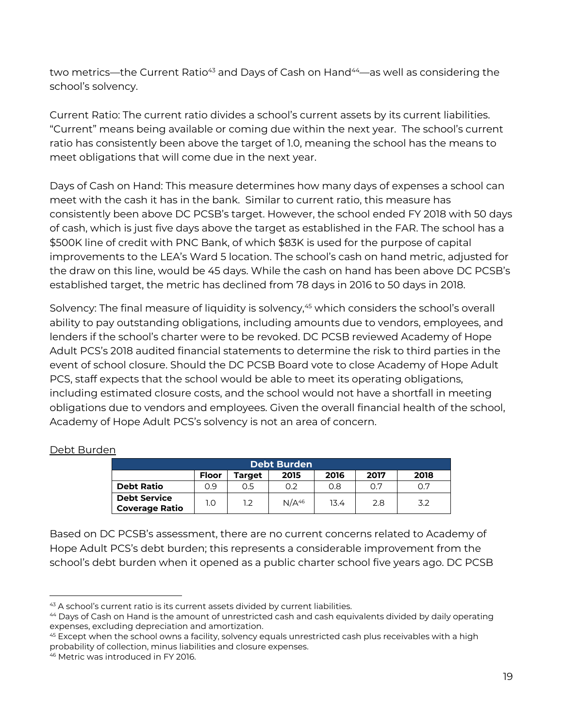two metrics—the Current Ratio<sup>43</sup> and Days of Cash on Hand<sup>44</sup>—as well as considering the school's solvency.

Current Ratio: The current ratio divides a school's current assets by its current liabilities. "Current" means being available or coming due within the next year. The school's current ratio has consistently been above the target of 1.0, meaning the school has the means to meet obligations that will come due in the next year.

Days of Cash on Hand: This measure determines how many days of expenses a school can meet with the cash it has in the bank. Similar to current ratio, this measure has consistently been above DC PCSB's target. However, the school ended FY 2018 with 50 days of cash, which is just five days above the target as established in the FAR. The school has a \$500K line of credit with PNC Bank, of which \$83K is used for the purpose of capital improvements to the LEA's Ward 5 location. The school's cash on hand metric, adjusted for the draw on this line, would be 45 days. While the cash on hand has been above DC PCSB's established target, the metric has declined from 78 days in 2016 to 50 days in 2018.

Solvency: The final measure of liquidity is solvency,<sup>45</sup> which considers the school's overall ability to pay outstanding obligations, including amounts due to vendors, employees, and lenders if the school's charter were to be revoked. DC PCSB reviewed Academy of Hope Adult PCS's 2018 audited financial statements to determine the risk to third parties in the event of school closure. Should the DC PCSB Board vote to close Academy of Hope Adult PCS, staff expects that the school would be able to meet its operating obligations, including estimated closure costs, and the school would not have a shortfall in meeting obligations due to vendors and employees. Given the overall financial health of the school, Academy of Hope Adult PCS's solvency is not an area of concern.

| <b>Debt Burden</b>                           |              |        |                   |      |      |      |  |  |
|----------------------------------------------|--------------|--------|-------------------|------|------|------|--|--|
|                                              | <b>Floor</b> | Target | 2015              | 2016 | 2017 | 2018 |  |  |
| <b>Debt Ratio</b>                            | 0.9          | 0.5    | 0.2               | 0.8  | 0.7  | 0.7  |  |  |
| <b>Debt Service</b><br><b>Coverage Ratio</b> | 1.0          | 1.2    | N/A <sup>46</sup> | 13.4 | 2.8  | 3.2  |  |  |

#### Debt Burden

Based on DC PCSB's assessment, there are no current concerns related to Academy of Hope Adult PCS's debt burden; this represents a considerable improvement from the school's debt burden when it opened as a public charter school five years ago. DC PCSB

<sup>43</sup> A school's current ratio is its current assets divided by current liabilities.

<sup>44</sup> Days of Cash on Hand is the amount of unrestricted cash and cash equivalents divided by daily operating expenses, excluding depreciation and amortization.<br><sup>45</sup> Except when the school owns a facility, solvency equals unrestricted cash plus receivables with a high

probability of collection, minus liabilities and closure expenses.

<sup>46</sup> Metric was introduced in FY 2016.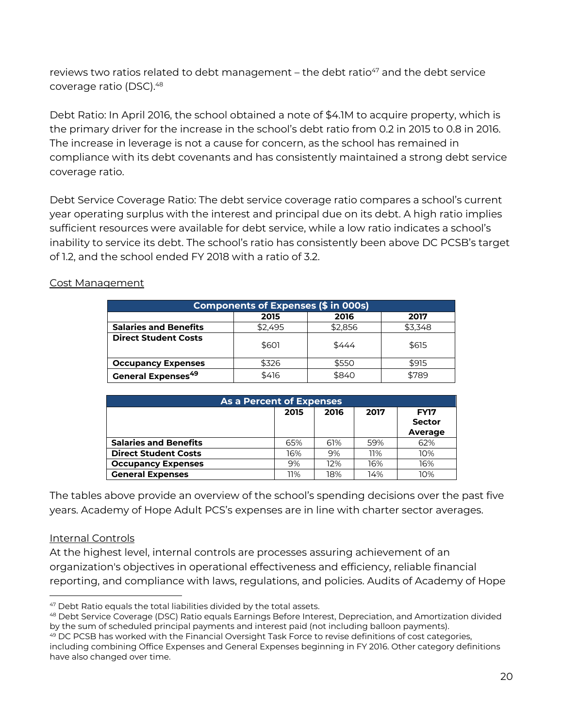reviews two ratios related to debt management – the debt ratio $47$  and the debt service coverage ratio (DSC).48

Debt Ratio: In April 2016, the school obtained a note of \$4.1M to acquire property, which is the primary driver for the increase in the school's debt ratio from 0.2 in 2015 to 0.8 in 2016. The increase in leverage is not a cause for concern, as the school has remained in compliance with its debt covenants and has consistently maintained a strong debt service coverage ratio.

Debt Service Coverage Ratio: The debt service coverage ratio compares a school's current year operating surplus with the interest and principal due on its debt. A high ratio implies sufficient resources were available for debt service, while a low ratio indicates a school's inability to service its debt. The school's ratio has consistently been above DC PCSB's target of 1.2, and the school ended FY 2018 with a ratio of 3.2.

| <b>Components of Expenses (\$ in 000s)</b> |         |         |         |  |  |  |  |
|--------------------------------------------|---------|---------|---------|--|--|--|--|
|                                            | 2015    | 2016    | 2017    |  |  |  |  |
| <b>Salaries and Benefits</b>               | \$2.495 | \$2.856 | \$3.348 |  |  |  |  |
| <b>Direct Student Costs</b>                | \$601   | \$444   | \$615   |  |  |  |  |
| <b>Occupancy Expenses</b>                  | \$326   | \$550   | \$915   |  |  |  |  |
| <b>General Expenses<sup>49</sup></b>       | \$416   | \$840   | \$789   |  |  |  |  |

#### Cost Management

| As a Percent of Expenses     |      |      |      |                                         |  |  |  |
|------------------------------|------|------|------|-----------------------------------------|--|--|--|
|                              | 2015 | 2016 | 2017 | <b>FY17</b><br><b>Sector</b><br>Average |  |  |  |
| <b>Salaries and Benefits</b> | 65%  | 61%  | 59%  | 62%                                     |  |  |  |
| <b>Direct Student Costs</b>  | 16%  | 9%   | 11%  | 10%                                     |  |  |  |
| <b>Occupancy Expenses</b>    | 9%   | 12%  | 16%  | 16%                                     |  |  |  |
| <b>General Expenses</b>      | 11%  | 18%  | 14%  | 10%                                     |  |  |  |

The tables above provide an overview of the school's spending decisions over the past five years. Academy of Hope Adult PCS's expenses are in line with charter sector averages.

#### Internal Controls

At the highest level, internal controls are processes assuring achievement of an organization's objectives in operational effectiveness and efficiency, reliable financial reporting, and compliance with laws, regulations, and policies. Audits of Academy of Hope

 <sup>47</sup> Debt Ratio equals the total liabilities divided by the total assets.

<sup>48</sup> Debt Service Coverage (DSC) Ratio equals Earnings Before Interest, Depreciation, and Amortization divided by the sum of scheduled principal payments and interest paid (not including balloon payments).

<sup>49</sup> DC PCSB has worked with the Financial Oversight Task Force to revise definitions of cost categories, including combining Office Expenses and General Expenses beginning in FY 2016. Other category definitions have also changed over time.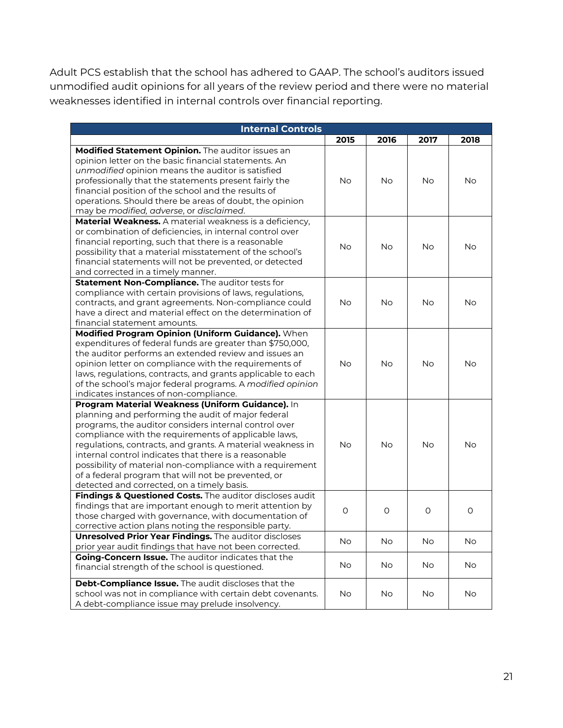Adult PCS establish that the school has adhered to GAAP. The school's auditors issued unmodified audit opinions for all years of the review period and there were no material weaknesses identified in internal controls over financial reporting.

| <b>Internal Controls</b>                                                                                                |           |           |           |           |  |  |  |  |
|-------------------------------------------------------------------------------------------------------------------------|-----------|-----------|-----------|-----------|--|--|--|--|
|                                                                                                                         | 2015      | 2016      | 2017      | 2018      |  |  |  |  |
| Modified Statement Opinion. The auditor issues an                                                                       |           |           |           |           |  |  |  |  |
| opinion letter on the basic financial statements. An                                                                    |           |           |           |           |  |  |  |  |
| unmodified opinion means the auditor is satisfied                                                                       |           |           |           |           |  |  |  |  |
| professionally that the statements present fairly the                                                                   | No        | <b>No</b> | <b>No</b> | No        |  |  |  |  |
| financial position of the school and the results of                                                                     |           |           |           |           |  |  |  |  |
| operations. Should there be areas of doubt, the opinion                                                                 |           |           |           |           |  |  |  |  |
| may be modified, adverse, or disclaimed.                                                                                |           |           |           |           |  |  |  |  |
| Material Weakness. A material weakness is a deficiency,                                                                 |           |           |           |           |  |  |  |  |
| or combination of deficiencies, in internal control over                                                                |           |           |           |           |  |  |  |  |
| financial reporting, such that there is a reasonable                                                                    | <b>No</b> | <b>No</b> | <b>No</b> | <b>No</b> |  |  |  |  |
| possibility that a material misstatement of the school's                                                                |           |           |           |           |  |  |  |  |
| financial statements will not be prevented, or detected                                                                 |           |           |           |           |  |  |  |  |
| and corrected in a timely manner.                                                                                       |           |           |           |           |  |  |  |  |
| Statement Non-Compliance. The auditor tests for                                                                         |           |           |           |           |  |  |  |  |
| compliance with certain provisions of laws, regulations,                                                                |           |           |           |           |  |  |  |  |
| contracts, and grant agreements. Non-compliance could                                                                   | <b>No</b> | No        | <b>No</b> | No        |  |  |  |  |
| have a direct and material effect on the determination of                                                               |           |           |           |           |  |  |  |  |
| financial statement amounts.                                                                                            |           |           |           |           |  |  |  |  |
| Modified Program Opinion (Uniform Guidance). When                                                                       |           |           |           |           |  |  |  |  |
| expenditures of federal funds are greater than \$750,000,                                                               |           |           |           |           |  |  |  |  |
| the auditor performs an extended review and issues an                                                                   |           |           |           |           |  |  |  |  |
| opinion letter on compliance with the requirements of                                                                   | <b>No</b> | <b>No</b> | <b>No</b> | <b>No</b> |  |  |  |  |
| laws, regulations, contracts, and grants applicable to each                                                             |           |           |           |           |  |  |  |  |
| of the school's major federal programs. A modified opinion                                                              |           |           |           |           |  |  |  |  |
| indicates instances of non-compliance.                                                                                  |           |           |           |           |  |  |  |  |
| Program Material Weakness (Uniform Guidance). In                                                                        |           |           |           |           |  |  |  |  |
| planning and performing the audit of major federal                                                                      |           |           |           |           |  |  |  |  |
| programs, the auditor considers internal control over                                                                   |           |           |           |           |  |  |  |  |
| compliance with the requirements of applicable laws,                                                                    |           |           |           |           |  |  |  |  |
| regulations, contracts, and grants. A material weakness in                                                              | <b>No</b> | <b>No</b> | <b>No</b> | No        |  |  |  |  |
| internal control indicates that there is a reasonable                                                                   |           |           |           |           |  |  |  |  |
| possibility of material non-compliance with a requirement                                                               |           |           |           |           |  |  |  |  |
| of a federal program that will not be prevented, or                                                                     |           |           |           |           |  |  |  |  |
| detected and corrected, on a timely basis.                                                                              |           |           |           |           |  |  |  |  |
| Findings & Questioned Costs. The auditor discloses audit                                                                |           |           |           |           |  |  |  |  |
| findings that are important enough to merit attention by                                                                | $\circ$   | $\circ$   | $\circ$   | $\circ$   |  |  |  |  |
| those charged with governance, with documentation of                                                                    |           |           |           |           |  |  |  |  |
| corrective action plans noting the responsible party.                                                                   |           |           |           |           |  |  |  |  |
| <b>Unresolved Prior Year Findings.</b> The auditor discloses<br>prior year audit findings that have not been corrected. | No        | <b>No</b> | <b>No</b> | No        |  |  |  |  |
| Going-Concern Issue. The auditor indicates that the                                                                     |           |           |           |           |  |  |  |  |
| financial strength of the school is questioned.                                                                         | No        | No.       | No        | No        |  |  |  |  |
|                                                                                                                         |           |           |           |           |  |  |  |  |
| Debt-Compliance Issue. The audit discloses that the                                                                     |           |           |           |           |  |  |  |  |
| school was not in compliance with certain debt covenants.                                                               | <b>No</b> | <b>No</b> | No        | <b>No</b> |  |  |  |  |
| A debt-compliance issue may prelude insolvency.                                                                         |           |           |           |           |  |  |  |  |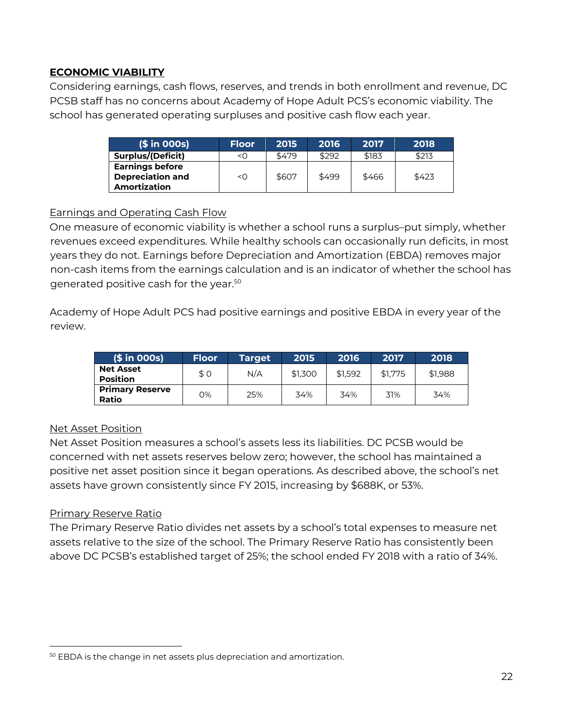#### **ECONOMIC VIABILITY**

Considering earnings, cash flows, reserves, and trends in both enrollment and revenue, DC PCSB staff has no concerns about Academy of Hope Adult PCS's economic viability. The school has generated operating surpluses and positive cash flow each year.

| $(\$ in OOS)$                                                            | <b>Floor</b> | 2015  | 2016  | 2017  | 2018  |
|--------------------------------------------------------------------------|--------------|-------|-------|-------|-------|
| <b>Surplus/(Deficit)</b>                                                 | <ດ           | \$479 | \$292 | \$183 | \$213 |
| <b>Earnings before</b><br><b>Depreciation and</b><br><b>Amortization</b> | <0           | \$607 | \$499 | \$466 | \$423 |

#### Earnings and Operating Cash Flow

One measure of economic viability is whether a school runs a surplus–put simply, whether revenues exceed expenditures. While healthy schools can occasionally run deficits, in most years they do not. Earnings before Depreciation and Amortization (EBDA) removes major non-cash items from the earnings calculation and is an indicator of whether the school has generated positive cash for the year. 50

Academy of Hope Adult PCS had positive earnings and positive EBDA in every year of the review.

| $(\$ in OOS)$                       | <b>Floor</b> | <b>Target</b> | 2015    | 2016    | 2017    | 2018    |
|-------------------------------------|--------------|---------------|---------|---------|---------|---------|
| <b>Net Asset</b><br><b>Position</b> | \$0          | N/A           | \$1.300 | \$1.592 | \$1,775 | \$1.988 |
| <b>Primary Reserve</b><br>Ratio     | O%           | 25%           | 34%     | 34%     | 31%     | 34%     |

#### Net Asset Position

Net Asset Position measures a school's assets less its liabilities. DC PCSB would be concerned with net assets reserves below zero; however, the school has maintained a positive net asset position since it began operations. As described above, the school's net assets have grown consistently since FY 2015, increasing by \$688K, or 53%.

#### Primary Reserve Ratio

The Primary Reserve Ratio divides net assets by a school's total expenses to measure net assets relative to the size of the school. The Primary Reserve Ratio has consistently been above DC PCSB's established target of 25%; the school ended FY 2018 with a ratio of 34%.

<sup>50</sup> EBDA is the change in net assets plus depreciation and amortization.